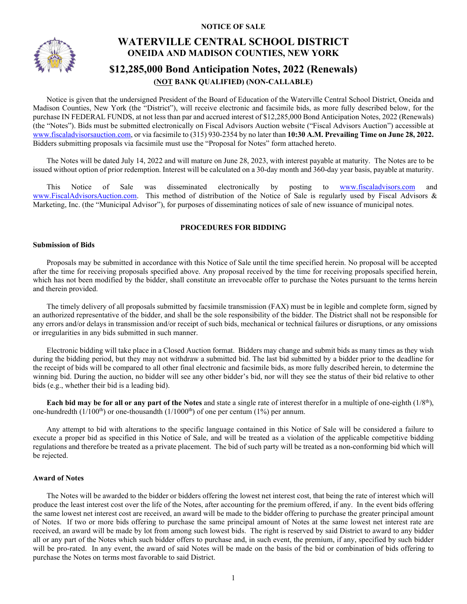**NOTICE OF SALE**



# **WATERVILLE CENTRAL SCHOOL DISTRICT ONEIDA AND MADISON COUNTIES, NEW YORK**

# **\$12,285,000 Bond Anticipation Notes, 2022 (Renewals) (NOT BANK QUALIFIED) (NON-CALLABLE)**

Notice is given that the undersigned President of the Board of Education of the Waterville Central School District, Oneida and Madison Counties, New York (the "District"), will receive electronic and facsimile bids, as more fully described below, for the purchase IN FEDERAL FUNDS, at not less than par and accrued interest of \$12,285,000 Bond Anticipation Notes, 2022 (Renewals) (the "Notes"). Bids must be submitted electronically on Fiscal Advisors Auction website ("Fiscal Advisors Auction") accessible at [www.fiscaladvisorsauction.com,](http://www.fiscaladvisorsauction.com/) or via facsimile to (315) 930-2354 by no later than **10:30 A.M. Prevailing Time on June 28, 2022.** Bidders submitting proposals via facsimile must use the "Proposal for Notes" form attached hereto.

The Notes will be dated July 14, 2022 and will mature on June 28, 2023, with interest payable at maturity. The Notes are to be issued without option of prior redemption. Interest will be calculated on a 30-day month and 360-day year basis, payable at maturity.

This Notice of Sale was disseminated electronically by posting to [www.fiscaladvisors.com](http://www.fiscaladvisors.com/) and [www.FiscalAdvisorsAuction.com.](http://www.fiscaladvisorsauction.com/) This method of distribution of the Notice of Sale is regularly used by Fiscal Advisors & Marketing, Inc. (the "Municipal Advisor"), for purposes of disseminating notices of sale of new issuance of municipal notes.

# **PROCEDURES FOR BIDDING**

# **Submission of Bids**

Proposals may be submitted in accordance with this Notice of Sale until the time specified herein. No proposal will be accepted after the time for receiving proposals specified above. Any proposal received by the time for receiving proposals specified herein, which has not been modified by the bidder, shall constitute an irrevocable offer to purchase the Notes pursuant to the terms herein and therein provided.

The timely delivery of all proposals submitted by facsimile transmission (FAX) must be in legible and complete form, signed by an authorized representative of the bidder, and shall be the sole responsibility of the bidder. The District shall not be responsible for any errors and/or delays in transmission and/or receipt of such bids, mechanical or technical failures or disruptions, or any omissions or irregularities in any bids submitted in such manner.

Electronic bidding will take place in a Closed Auction format. Bidders may change and submit bids as many times as they wish during the bidding period, but they may not withdraw a submitted bid. The last bid submitted by a bidder prior to the deadline for the receipt of bids will be compared to all other final electronic and facsimile bids, as more fully described herein, to determine the winning bid. During the auction, no bidder will see any other bidder's bid, nor will they see the status of their bid relative to other bids (e.g., whether their bid is a leading bid).

**Each bid may be for all or any part of the Notes** and state a single rate of interest therefor in a multiple of one-eighth (1/8th), one-hundredth ( $1/100<sup>th</sup>$ ) or one-thousandth ( $1/1000<sup>th</sup>$ ) of one per centum ( $1\%$ ) per annum.

Any attempt to bid with alterations to the specific language contained in this Notice of Sale will be considered a failure to execute a proper bid as specified in this Notice of Sale, and will be treated as a violation of the applicable competitive bidding regulations and therefore be treated as a private placement. The bid of such party will be treated as a non-conforming bid which will be rejected.

# **Award of Notes**

The Notes will be awarded to the bidder or bidders offering the lowest net interest cost, that being the rate of interest which will produce the least interest cost over the life of the Notes, after accounting for the premium offered, if any. In the event bids offering the same lowest net interest cost are received, an award will be made to the bidder offering to purchase the greater principal amount of Notes. If two or more bids offering to purchase the same principal amount of Notes at the same lowest net interest rate are received, an award will be made by lot from among such lowest bids. The right is reserved by said District to award to any bidder all or any part of the Notes which such bidder offers to purchase and, in such event, the premium, if any, specified by such bidder will be pro-rated. In any event, the award of said Notes will be made on the basis of the bid or combination of bids offering to purchase the Notes on terms most favorable to said District.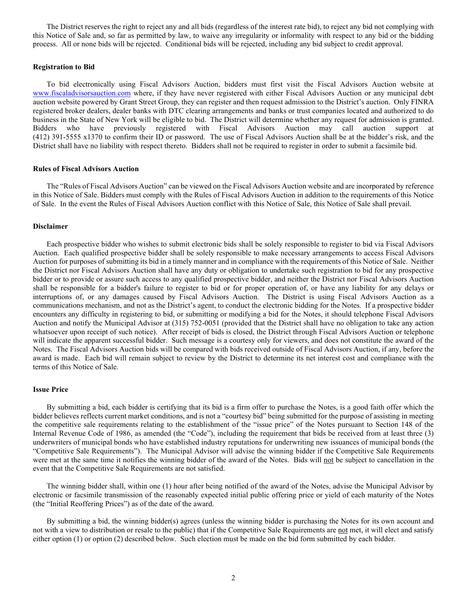The District reserves the right to reject any and all bids (regardless of the interest rate bid), to reject any bid not complying with this Notice of Sale and, so far as permitted by law, to waive any irregularity or informality with respect to any bid or the bidding process. All or none bids will be rejected. Conditional bids will be rejected, including any bid subject to credit approval.

### **Registration to Bid**

To bid electronically using Fiscal Advisors Auction, bidders must first visit the Fiscal Advisors Auction website at [www.fiscaladvisorsauction.com](http://www.fiscaladvisorsauction.com/) where, if they have never registered with either Fiscal Advisors Auction or any municipal debt auction website powered by Grant Street Group, they can register and then request admission to the District's auction. Only FINRA registered broker dealers, dealer banks with DTC clearing arrangements and banks or trust companies located and authorized to do business in the State of New York will be eligible to bid. The District will determine whether any request for admission is granted. Bidders who have previously registered with Fiscal Advisors Auction may call auction support at (412) 391-5555 x1370 to confirm their ID or password. The use of Fiscal Advisors Auction shall be at the bidder's risk, and the District shall have no liability with respect thereto. Bidders shall not be required to register in order to submit a facsimile bid.

#### **Rules of Fiscal Advisors Auction**

The "Rules of Fiscal Advisors Auction" can be viewed on the Fiscal Advisors Auction website and are incorporated by reference in this Notice of Sale. Bidders must comply with the Rules of Fiscal Advisors Auction in addition to the requirements of this Notice of Sale. In the event the Rules of Fiscal Advisors Auction conflict with this Notice of Sale, this Notice of Sale shall prevail.

## **Disclaimer**

Each prospective bidder who wishes to submit electronic bids shall be solely responsible to register to bid via Fiscal Advisors Auction. Each qualified prospective bidder shall be solely responsible to make necessary arrangements to access Fiscal Advisors Auction for purposes of submitting its bid in a timely manner and in compliance with the requirements of this Notice of Sale. Neither the District nor Fiscal Advisors Auction shall have any duty or obligation to undertake such registration to bid for any prospective bidder or to provide or assure such access to any qualified prospective bidder, and neither the District nor Fiscal Advisors Auction shall be responsible for a bidder's failure to register to bid or for proper operation of, or have any liability for any delays or interruptions of, or any damages caused by Fiscal Advisors Auction. The District is using Fiscal Advisors Auction as a communications mechanism, and not as the District's agent, to conduct the electronic bidding for the Notes. If a prospective bidder encounters any difficulty in registering to bid, or submitting or modifying a bid for the Notes, it should telephone Fiscal Advisors Auction and notify the Municipal Advisor at (315) 752-0051 (provided that the District shall have no obligation to take any action whatsoever upon receipt of such notice). After receipt of bids is closed, the District through Fiscal Advisors Auction or telephone will indicate the apparent successful bidder. Such message is a courtesy only for viewers, and does not constitute the award of the Notes. The Fiscal Advisors Auction bids will be compared with bids received outside of Fiscal Advisors Auction, if any, before the award is made. Each bid will remain subject to review by the District to determine its net interest cost and compliance with the terms of this Notice of Sale.

#### **Issue Price**

By submitting a bid, each bidder is certifying that its bid is a firm offer to purchase the Notes, is a good faith offer which the bidder believes reflects current market conditions, and is not a "courtesy bid" being submitted for the purpose of assisting in meeting the competitive sale requirements relating to the establishment of the "issue price" of the Notes pursuant to Section 148 of the Internal Revenue Code of 1986, as amended (the "Code"), including the requirement that bids be received from at least three (3) underwriters of municipal bonds who have established industry reputations for underwriting new issuances of municipal bonds (the "Competitive Sale Requirements"). The Municipal Advisor will advise the winning bidder if the Competitive Sale Requirements were met at the same time it notifies the winning bidder of the award of the Notes. Bids will not be subject to cancellation in the event that the Competitive Sale Requirements are not satisfied.

The winning bidder shall, within one (1) hour after being notified of the award of the Notes, advise the Municipal Advisor by electronic or facsimile transmission of the reasonably expected initial public offering price or yield of each maturity of the Notes (the "Initial Reoffering Prices") as of the date of the award.

By submitting a bid, the winning bidder(s) agrees (unless the winning bidder is purchasing the Notes for its own account and not with a view to distribution or resale to the public) that if the Competitive Sale Requirements are not met, it will elect and satisfy either option (1) or option (2) described below. Such election must be made on the bid form submitted by each bidder.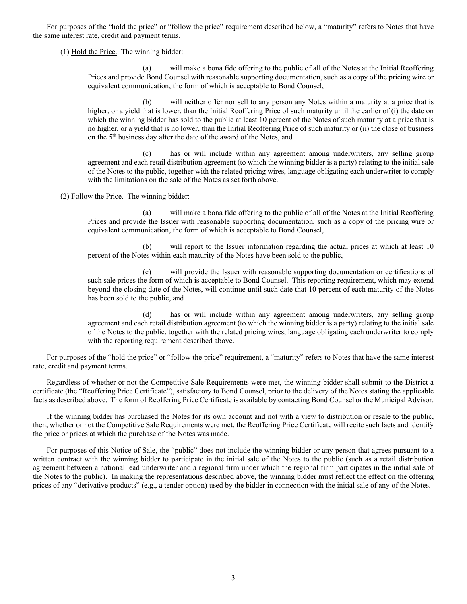For purposes of the "hold the price" or "follow the price" requirement described below, a "maturity" refers to Notes that have the same interest rate, credit and payment terms.

 $(1)$  Hold the Price. The winning bidder:

(a) will make a bona fide offering to the public of all of the Notes at the Initial Reoffering Prices and provide Bond Counsel with reasonable supporting documentation, such as a copy of the pricing wire or equivalent communication, the form of which is acceptable to Bond Counsel,

(b) will neither offer nor sell to any person any Notes within a maturity at a price that is higher, or a yield that is lower, than the Initial Reoffering Price of such maturity until the earlier of (i) the date on which the winning bidder has sold to the public at least 10 percent of the Notes of such maturity at a price that is no higher, or a yield that is no lower, than the Initial Reoffering Price of such maturity or (ii) the close of business on the 5th business day after the date of the award of the Notes, and

(c) has or will include within any agreement among underwriters, any selling group agreement and each retail distribution agreement (to which the winning bidder is a party) relating to the initial sale of the Notes to the public, together with the related pricing wires, language obligating each underwriter to comply with the limitations on the sale of the Notes as set forth above.

(2) Follow the Price. The winning bidder:

(a) will make a bona fide offering to the public of all of the Notes at the Initial Reoffering Prices and provide the Issuer with reasonable supporting documentation, such as a copy of the pricing wire or equivalent communication, the form of which is acceptable to Bond Counsel,

(b) will report to the Issuer information regarding the actual prices at which at least 10 percent of the Notes within each maturity of the Notes have been sold to the public,

(c) will provide the Issuer with reasonable supporting documentation or certifications of such sale prices the form of which is acceptable to Bond Counsel. This reporting requirement, which may extend beyond the closing date of the Notes, will continue until such date that 10 percent of each maturity of the Notes has been sold to the public, and

(d) has or will include within any agreement among underwriters, any selling group agreement and each retail distribution agreement (to which the winning bidder is a party) relating to the initial sale of the Notes to the public, together with the related pricing wires, language obligating each underwriter to comply with the reporting requirement described above.

For purposes of the "hold the price" or "follow the price" requirement, a "maturity" refers to Notes that have the same interest rate, credit and payment terms.

Regardless of whether or not the Competitive Sale Requirements were met, the winning bidder shall submit to the District a certificate (the "Reoffering Price Certificate"), satisfactory to Bond Counsel, prior to the delivery of the Notes stating the applicable facts as described above. The form of Reoffering Price Certificate is available by contacting Bond Counsel or the Municipal Advisor.

If the winning bidder has purchased the Notes for its own account and not with a view to distribution or resale to the public, then, whether or not the Competitive Sale Requirements were met, the Reoffering Price Certificate will recite such facts and identify the price or prices at which the purchase of the Notes was made.

For purposes of this Notice of Sale, the "public" does not include the winning bidder or any person that agrees pursuant to a written contract with the winning bidder to participate in the initial sale of the Notes to the public (such as a retail distribution agreement between a national lead underwriter and a regional firm under which the regional firm participates in the initial sale of the Notes to the public). In making the representations described above, the winning bidder must reflect the effect on the offering prices of any "derivative products" (e.g., a tender option) used by the bidder in connection with the initial sale of any of the Notes.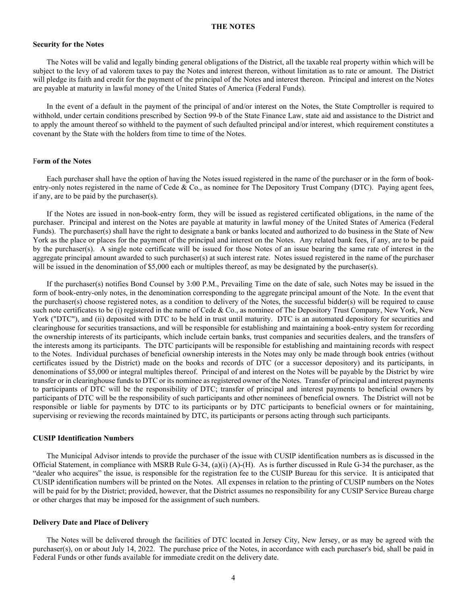#### **THE NOTES**

#### **Security for the Notes**

The Notes will be valid and legally binding general obligations of the District, all the taxable real property within which will be subject to the levy of ad valorem taxes to pay the Notes and interest thereon, without limitation as to rate or amount. The District will pledge its faith and credit for the payment of the principal of the Notes and interest thereon. Principal and interest on the Notes are payable at maturity in lawful money of the United States of America (Federal Funds).

In the event of a default in the payment of the principal of and/or interest on the Notes, the State Comptroller is required to withhold, under certain conditions prescribed by Section 99-b of the State Finance Law, state aid and assistance to the District and to apply the amount thereof so withheld to the payment of such defaulted principal and/or interest, which requirement constitutes a covenant by the State with the holders from time to time of the Notes.

#### F**orm of the Notes**

Each purchaser shall have the option of having the Notes issued registered in the name of the purchaser or in the form of bookentry-only notes registered in the name of Cede & Co., as nominee for The Depository Trust Company (DTC). Paying agent fees, if any, are to be paid by the purchaser(s).

If the Notes are issued in non-book-entry form, they will be issued as registered certificated obligations, in the name of the purchaser. Principal and interest on the Notes are payable at maturity in lawful money of the United States of America (Federal Funds). The purchaser(s) shall have the right to designate a bank or banks located and authorized to do business in the State of New York as the place or places for the payment of the principal and interest on the Notes. Any related bank fees, if any, are to be paid by the purchaser(s). A single note certificate will be issued for those Notes of an issue bearing the same rate of interest in the aggregate principal amount awarded to such purchaser(s) at such interest rate. Notes issued registered in the name of the purchaser will be issued in the denomination of \$5,000 each or multiples thereof, as may be designated by the purchaser(s).

If the purchaser(s) notifies Bond Counsel by 3:00 P.M., Prevailing Time on the date of sale, such Notes may be issued in the form of book-entry-only notes, in the denomination corresponding to the aggregate principal amount of the Note. In the event that the purchaser(s) choose registered notes, as a condition to delivery of the Notes, the successful bidder(s) will be required to cause such note certificates to be (i) registered in the name of Cede & Co., as nominee of The Depository Trust Company, New York, New York ("DTC"), and (ii) deposited with DTC to be held in trust until maturity. DTC is an automated depository for securities and clearinghouse for securities transactions, and will be responsible for establishing and maintaining a book-entry system for recording the ownership interests of its participants, which include certain banks, trust companies and securities dealers, and the transfers of the interests among its participants. The DTC participants will be responsible for establishing and maintaining records with respect to the Notes. Individual purchases of beneficial ownership interests in the Notes may only be made through book entries (without certificates issued by the District) made on the books and records of DTC (or a successor depository) and its participants, in denominations of \$5,000 or integral multiples thereof. Principal of and interest on the Notes will be payable by the District by wire transfer or in clearinghouse funds to DTC or its nominee as registered owner of the Notes. Transfer of principal and interest payments to participants of DTC will be the responsibility of DTC; transfer of principal and interest payments to beneficial owners by participants of DTC will be the responsibility of such participants and other nominees of beneficial owners. The District will not be responsible or liable for payments by DTC to its participants or by DTC participants to beneficial owners or for maintaining, supervising or reviewing the records maintained by DTC, its participants or persons acting through such participants.

#### **CUSIP Identification Numbers**

The Municipal Advisor intends to provide the purchaser of the issue with CUSIP identification numbers as is discussed in the Official Statement, in compliance with MSRB Rule G-34, (a)(i) (A)-(H). As is further discussed in Rule G-34 the purchaser, as the "dealer who acquires" the issue, is responsible for the registration fee to the CUSIP Bureau for this service. It is anticipated that CUSIP identification numbers will be printed on the Notes. All expenses in relation to the printing of CUSIP numbers on the Notes will be paid for by the District; provided, however, that the District assumes no responsibility for any CUSIP Service Bureau charge or other charges that may be imposed for the assignment of such numbers.

#### **Delivery Date and Place of Delivery**

The Notes will be delivered through the facilities of DTC located in Jersey City, New Jersey, or as may be agreed with the purchaser(s), on or about July 14, 2022. The purchase price of the Notes, in accordance with each purchaser's bid, shall be paid in Federal Funds or other funds available for immediate credit on the delivery date.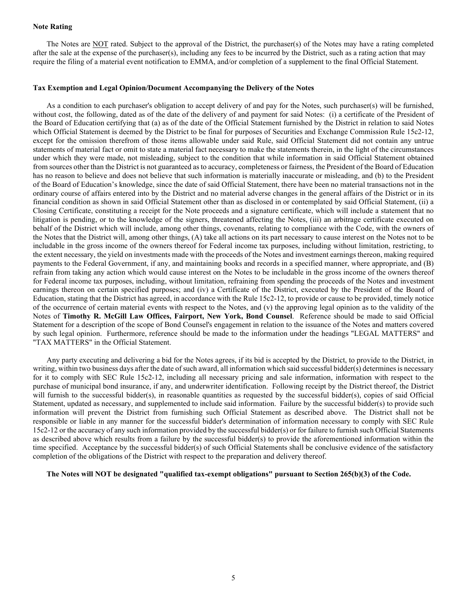### **Note Rating**

The Notes are NOT rated. Subject to the approval of the District, the purchaser(s) of the Notes may have a rating completed after the sale at the expense of the purchaser(s), including any fees to be incurred by the District, such as a rating action that may require the filing of a material event notification to EMMA, and/or completion of a supplement to the final Official Statement.

### **Tax Exemption and Legal Opinion/Document Accompanying the Delivery of the Notes**

As a condition to each purchaser's obligation to accept delivery of and pay for the Notes, such purchaser(s) will be furnished, without cost, the following, dated as of the date of the delivery of and payment for said Notes: (i) a certificate of the President of the Board of Education certifying that (a) as of the date of the Official Statement furnished by the District in relation to said Notes which Official Statement is deemed by the District to be final for purposes of Securities and Exchange Commission Rule 15c2-12, except for the omission therefrom of those items allowable under said Rule, said Official Statement did not contain any untrue statements of material fact or omit to state a material fact necessary to make the statements therein, in the light of the circumstances under which they were made, not misleading, subject to the condition that while information in said Official Statement obtained from sources other than the District is not guaranteed as to accuracy, completeness or fairness, the President of the Board of Education has no reason to believe and does not believe that such information is materially inaccurate or misleading, and (b) to the President of the Board of Education's knowledge, since the date of said Official Statement, there have been no material transactions not in the ordinary course of affairs entered into by the District and no material adverse changes in the general affairs of the District or in its financial condition as shown in said Official Statement other than as disclosed in or contemplated by said Official Statement, (ii) a Closing Certificate, constituting a receipt for the Note proceeds and a signature certificate, which will include a statement that no litigation is pending, or to the knowledge of the signers, threatened affecting the Notes, (iii) an arbitrage certificate executed on behalf of the District which will include, among other things, covenants, relating to compliance with the Code, with the owners of the Notes that the District will, among other things, (A) take all actions on its part necessary to cause interest on the Notes not to be includable in the gross income of the owners thereof for Federal income tax purposes, including without limitation, restricting, to the extent necessary, the yield on investments made with the proceeds of the Notes and investment earnings thereon, making required payments to the Federal Government, if any, and maintaining books and records in a specified manner, where appropriate, and (B) refrain from taking any action which would cause interest on the Notes to be includable in the gross income of the owners thereof for Federal income tax purposes, including, without limitation, refraining from spending the proceeds of the Notes and investment earnings thereon on certain specified purposes; and (iv) a Certificate of the District, executed by the President of the Board of Education, stating that the District has agreed, in accordance with the Rule 15c2-12, to provide or cause to be provided, timely notice of the occurrence of certain material events with respect to the Notes, and (v) the approving legal opinion as to the validity of the Notes of **Timothy R. McGill Law Offices, Fairport, New York, Bond Counsel**. Reference should be made to said Official Statement for a description of the scope of Bond Counsel's engagement in relation to the issuance of the Notes and matters covered by such legal opinion. Furthermore, reference should be made to the information under the headings "LEGAL MATTERS" and "TAX MATTERS" in the Official Statement.

Any party executing and delivering a bid for the Notes agrees, if its bid is accepted by the District, to provide to the District, in writing, within two business days after the date of such award, all information which said successful bidder(s) determines is necessary for it to comply with SEC Rule 15c2-12, including all necessary pricing and sale information, information with respect to the purchase of municipal bond insurance, if any, and underwriter identification. Following receipt by the District thereof, the District will furnish to the successful bidder(s), in reasonable quantities as requested by the successful bidder(s), copies of said Official Statement, updated as necessary, and supplemented to include said information. Failure by the successful bidder(s) to provide such information will prevent the District from furnishing such Official Statement as described above. The District shall not be responsible or liable in any manner for the successful bidder's determination of information necessary to comply with SEC Rule 15c2-12 or the accuracy of any such information provided by the successful bidder(s) or for failure to furnish such Official Statements as described above which results from a failure by the successful bidder(s) to provide the aforementioned information within the time specified. Acceptance by the successful bidder(s) of such Official Statements shall be conclusive evidence of the satisfactory completion of the obligations of the District with respect to the preparation and delivery thereof.

**The Notes will NOT be designated "qualified tax-exempt obligations" pursuant to Section 265(b)(3) of the Code.**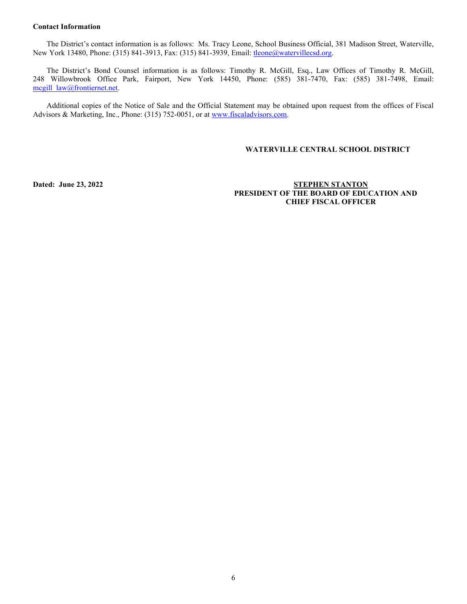### **Contact Information**

The District's contact information is as follows: Ms. Tracy Leone, School Business Official, 381 Madison Street, Waterville, New York 13480, Phone: (315) 841-3913, Fax: (315) 841-3939, Email: [tleone@watervillecsd.org.](mailto:tleone@watervillecsd.org)

The District's Bond Counsel information is as follows: Timothy R. McGill, Esq., Law Offices of Timothy R. McGill, 248 Willowbrook Office Park, Fairport, New York 14450, Phone: (585) 381-7470, Fax: (585) 381-7498, Email: mcgill\_law@frontiernet.net.

Additional copies of the Notice of Sale and the Official Statement may be obtained upon request from the offices of Fiscal Advisors & Marketing, Inc., Phone: (315) 752-0051, or a[t www.fiscaladvisors.com.](http://www.fiscaladvisors.com/)

# **WATERVILLE CENTRAL SCHOOL DISTRICT**

**Dated:** June 23, 2022 **STEPHEN STANTON PRESIDENT OF THE BOARD OF EDUCATION AND CHIEF FISCAL OFFICER**